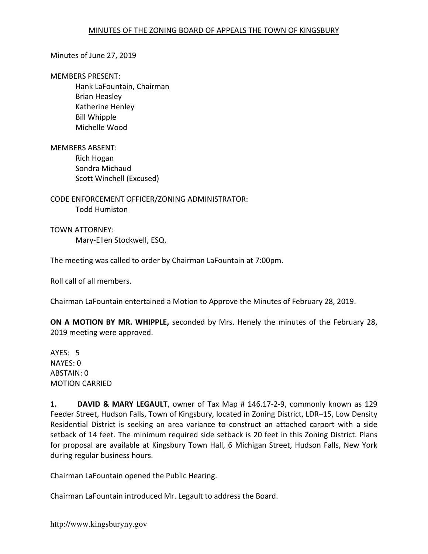### Minutes of June 27, 2019

#### MEMBERS PRESENT:

 Hank LaFountain, Chairman Brian Heasley Katherine Henley Bill Whipple Michelle Wood

### MEMBERS ABSENT:

 Rich Hogan Sondra Michaud Scott Winchell (Excused)

CODE ENFORCEMENT OFFICER/ZONING ADMINISTRATOR: Todd Humiston

TOWN ATTORNEY: Mary-Ellen Stockwell, ESQ.

The meeting was called to order by Chairman LaFountain at 7:00pm.

Roll call of all members.

Chairman LaFountain entertained a Motion to Approve the Minutes of February 28, 2019.

ON A MOTION BY MR. WHIPPLE, seconded by Mrs. Henely the minutes of the February 28, 2019 meeting were approved.

AYES: 5 NAYES: 0 ABSTAIN: 0 MOTION CARRIED

1. DAVID & MARY LEGAULT, owner of Tax Map # 146.17-2-9, commonly known as 129 Feeder Street, Hudson Falls, Town of Kingsbury, located in Zoning District, LDR–15, Low Density Residential District is seeking an area variance to construct an attached carport with a side setback of 14 feet. The minimum required side setback is 20 feet in this Zoning District. Plans for proposal are available at Kingsbury Town Hall, 6 Michigan Street, Hudson Falls, New York during regular business hours.

Chairman LaFountain opened the Public Hearing.

Chairman LaFountain introduced Mr. Legault to address the Board.

http://www.kingsburyny.gov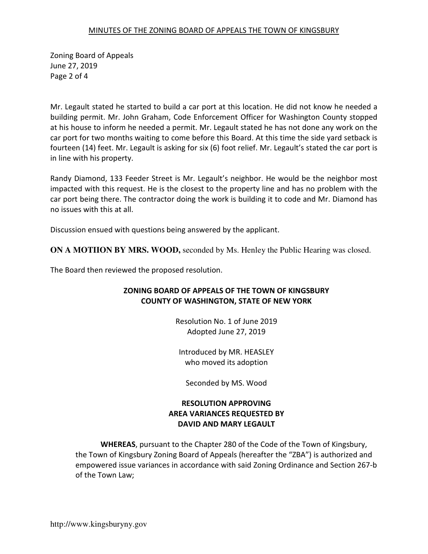## MINUTES OF THE ZONING BOARD OF APPEALS THE TOWN OF KINGSBURY

Zoning Board of Appeals June 27, 2019 Page 2 of 4

Mr. Legault stated he started to build a car port at this location. He did not know he needed a building permit. Mr. John Graham, Code Enforcement Officer for Washington County stopped at his house to inform he needed a permit. Mr. Legault stated he has not done any work on the car port for two months waiting to come before this Board. At this time the side yard setback is fourteen (14) feet. Mr. Legault is asking for six (6) foot relief. Mr. Legault's stated the car port is in line with his property.

Randy Diamond, 133 Feeder Street is Mr. Legault's neighbor. He would be the neighbor most impacted with this request. He is the closest to the property line and has no problem with the car port being there. The contractor doing the work is building it to code and Mr. Diamond has no issues with this at all.

Discussion ensued with questions being answered by the applicant.

**ON A MOTIION BY MRS. WOOD,** seconded by Ms. Henley the Public Hearing was closed.

The Board then reviewed the proposed resolution.

# ZONING BOARD OF APPEALS OF THE TOWN OF KINGSBURY COUNTY OF WASHINGTON, STATE OF NEW YORK

Resolution No. 1 of June 2019 Adopted June 27, 2019

Introduced by MR. HEASLEY who moved its adoption

Seconded by MS. Wood

# RESOLUTION APPROVING AREA VARIANCES REQUESTED BY DAVID AND MARY LEGAULT

WHEREAS, pursuant to the Chapter 280 of the Code of the Town of Kingsbury, the Town of Kingsbury Zoning Board of Appeals (hereafter the "ZBA") is authorized and empowered issue variances in accordance with said Zoning Ordinance and Section 267-b of the Town Law;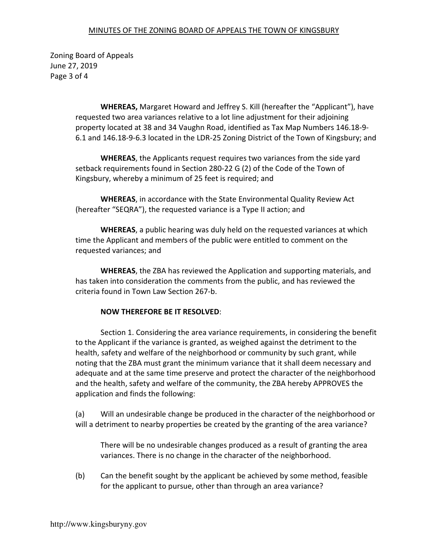## MINUTES OF THE ZONING BOARD OF APPEALS THE TOWN OF KINGSBURY

Zoning Board of Appeals June 27, 2019 Page 3 of 4

> WHEREAS, Margaret Howard and Jeffrey S. Kill (hereafter the "Applicant"), have requested two area variances relative to a lot line adjustment for their adjoining property located at 38 and 34 Vaughn Road, identified as Tax Map Numbers 146.18-9- 6.1 and 146.18-9-6.3 located in the LDR-25 Zoning District of the Town of Kingsbury; and

WHEREAS, the Applicants request requires two variances from the side yard setback requirements found in Section 280-22 G (2) of the Code of the Town of Kingsbury, whereby a minimum of 25 feet is required; and

WHEREAS, in accordance with the State Environmental Quality Review Act (hereafter "SEQRA"), the requested variance is a Type II action; and

WHEREAS, a public hearing was duly held on the requested variances at which time the Applicant and members of the public were entitled to comment on the requested variances; and

WHEREAS, the ZBA has reviewed the Application and supporting materials, and has taken into consideration the comments from the public, and has reviewed the criteria found in Town Law Section 267-b.

## NOW THEREFORE BE IT RESOLVED:

 Section 1. Considering the area variance requirements, in considering the benefit to the Applicant if the variance is granted, as weighed against the detriment to the health, safety and welfare of the neighborhood or community by such grant, while noting that the ZBA must grant the minimum variance that it shall deem necessary and adequate and at the same time preserve and protect the character of the neighborhood and the health, safety and welfare of the community, the ZBA hereby APPROVES the application and finds the following:

(a) Will an undesirable change be produced in the character of the neighborhood or will a detriment to nearby properties be created by the granting of the area variance?

There will be no undesirable changes produced as a result of granting the area variances. There is no change in the character of the neighborhood.

(b) Can the benefit sought by the applicant be achieved by some method, feasible for the applicant to pursue, other than through an area variance?